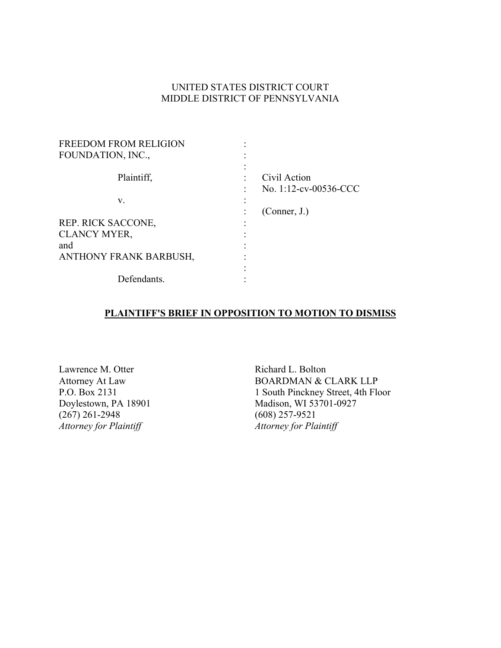## UNITED STATES DISTRICT COURT MIDDLE DISTRICT OF PENNSYLVANIA

| <b>FREEDOM FROM RELIGION</b>  |                       |
|-------------------------------|-----------------------|
| FOUNDATION, INC.,             |                       |
|                               |                       |
| Plaintiff,                    | Civil Action          |
|                               | No. 1:12-cv-00536-CCC |
| V.                            |                       |
|                               | (Connect, J.)         |
| REP. RICK SACCONE,            |                       |
| <b>CLANCY MYER,</b>           |                       |
| and                           |                       |
| <b>ANTHONY FRANK BARBUSH,</b> |                       |
|                               |                       |
| Defendants.                   |                       |

## **PLAINTIFF'S BRIEF IN OPPOSITION TO MOTION TO DISMISS**

Lawrence M. Otter Attorney At Law P.O. Box 2131 Doylestown, PA 18901 (267) 261-2948 *Attorney for Plaintiff*

Richard L. Bolton BOARDMAN & CLARK LLP 1 South Pinckney Street, 4th Floor Madison, WI 53701-0927 (608) 257-9521 *Attorney for Plaintiff*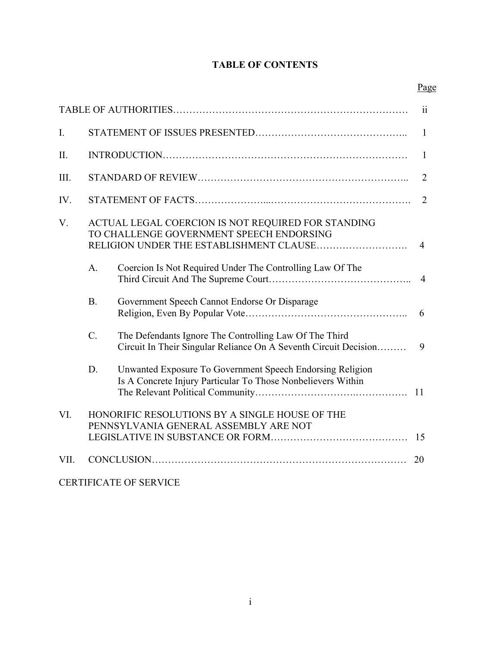# **TABLE OF CONTENTS**

|      |                  |                                                                                                                                           | ii             |
|------|------------------|-------------------------------------------------------------------------------------------------------------------------------------------|----------------|
| I.   |                  |                                                                                                                                           | $\mathbf{1}$   |
| II.  |                  |                                                                                                                                           | $\mathbf{1}$   |
| III. |                  |                                                                                                                                           | $\overline{2}$ |
| IV.  |                  |                                                                                                                                           | $\overline{2}$ |
| V.   |                  | ACTUAL LEGAL COERCION IS NOT REQUIRED FOR STANDING<br>TO CHALLENGE GOVERNMENT SPEECH ENDORSING<br>RELIGION UNDER THE ESTABLISHMENT CLAUSE | $\overline{4}$ |
|      | $A$ .            | Coercion Is Not Required Under The Controlling Law Of The                                                                                 | $\overline{4}$ |
|      | <b>B.</b>        | Government Speech Cannot Endorse Or Disparage                                                                                             | 6              |
|      | $\overline{C}$ . | The Defendants Ignore The Controlling Law Of The Third<br>Circuit In Their Singular Reliance On A Seventh Circuit Decision                | 9              |
|      | D.               | Unwanted Exposure To Government Speech Endorsing Religion<br>Is A Concrete Injury Particular To Those Nonbelievers Within                 | 11             |
| VI.  |                  | HONORIFIC RESOLUTIONS BY A SINGLE HOUSE OF THE<br>PENNSYLVANIA GENERAL ASSEMBLY ARE NOT                                                   |                |
|      |                  |                                                                                                                                           | 15             |
| VII. |                  |                                                                                                                                           | 20             |
|      |                  | <b>CERTIFICATE OF SERVICE</b>                                                                                                             |                |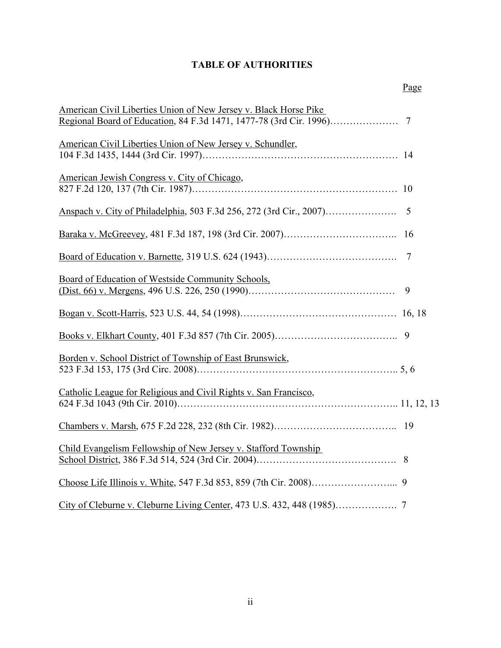# **TABLE OF AUTHORITIES**

| American Civil Liberties Union of New Jersey v. Black Horse Pike |                |
|------------------------------------------------------------------|----------------|
|                                                                  |                |
| American Civil Liberties Union of New Jersey v. Schundler,       |                |
|                                                                  |                |
| American Jewish Congress v. City of Chicago,                     |                |
|                                                                  |                |
|                                                                  | $\overline{5}$ |
|                                                                  |                |
|                                                                  | 7              |
| Board of Education of Westside Community Schools,                |                |
|                                                                  | 9              |
|                                                                  |                |
|                                                                  |                |
|                                                                  |                |
| Borden v. School District of Township of East Brunswick,         |                |
|                                                                  |                |
|                                                                  |                |
| Catholic League for Religious and Civil Rights v. San Francisco, |                |
|                                                                  |                |
|                                                                  |                |
| Child Evangelism Fellowship of New Jersey v. Stafford Township   |                |
|                                                                  |                |
|                                                                  |                |
|                                                                  |                |
|                                                                  |                |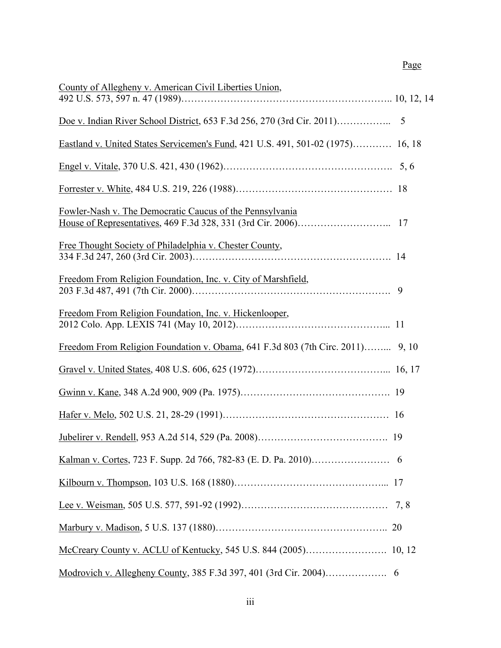# Page

| County of Allegheny v. American Civil Liberties Union,                          |    |
|---------------------------------------------------------------------------------|----|
|                                                                                 |    |
| Eastland v. United States Servicemen's Fund, 421 U.S. 491, 501-02 (1975) 16, 18 |    |
|                                                                                 |    |
|                                                                                 |    |
| Fowler-Nash v. The Democratic Caucus of the Pennsylvania                        |    |
| Free Thought Society of Philadelphia v. Chester County,                         |    |
| Freedom From Religion Foundation, Inc. v. City of Marshfield,                   |    |
| Freedom From Religion Foundation, Inc. v. Hickenlooper,                         |    |
| Freedom From Religion Foundation v. Obama, 641 F.3d 803 (7th Circ. 2011) 9, 10  |    |
|                                                                                 |    |
|                                                                                 |    |
|                                                                                 |    |
|                                                                                 |    |
|                                                                                 |    |
|                                                                                 |    |
|                                                                                 |    |
|                                                                                 | 20 |
|                                                                                 |    |
|                                                                                 |    |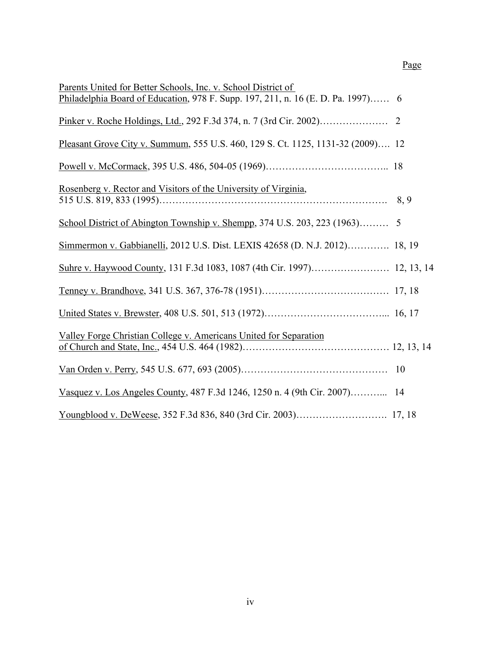| Parents United for Better Schools, Inc. v. School District of                    |   |
|----------------------------------------------------------------------------------|---|
| Philadelphia Board of Education, 978 F. Supp. 197, 211, n. 16 (E. D. Pa. 1997) 6 |   |
| Pinker v. Roche Holdings, Ltd., 292 F.3d 374, n. 7 (3rd Cir. 2002)               | 2 |
| Pleasant Grove City v. Summum, 555 U.S. 460, 129 S. Ct. 1125, 1131-32 (2009) 12  |   |
|                                                                                  |   |
| Rosenberg v. Rector and Visitors of the University of Virginia,                  |   |
|                                                                                  |   |
| School District of Abington Township v. Shempp, 374 U.S. 203, 223 (1963) 5       |   |
| Simmermon v. Gabbianelli, 2012 U.S. Dist. LEXIS 42658 (D. N.J. 2012) 18, 19      |   |
|                                                                                  |   |
|                                                                                  |   |
|                                                                                  |   |
| Valley Forge Christian College v. Americans United for Separation                |   |
|                                                                                  |   |
|                                                                                  |   |
| Vasquez v. Los Angeles County, 487 F.3d 1246, 1250 n. 4 (9th Cir. 2007) 14       |   |
|                                                                                  |   |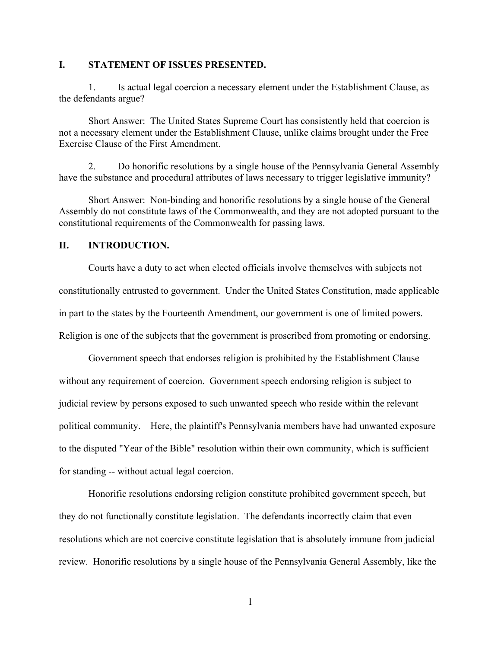#### **I. STATEMENT OF ISSUES PRESENTED.**

1. Is actual legal coercion a necessary element under the Establishment Clause, as the defendants argue?

Short Answer: The United States Supreme Court has consistently held that coercion is not a necessary element under the Establishment Clause, unlike claims brought under the Free Exercise Clause of the First Amendment.

2. Do honorific resolutions by a single house of the Pennsylvania General Assembly have the substance and procedural attributes of laws necessary to trigger legislative immunity?

Short Answer: Non-binding and honorific resolutions by a single house of the General Assembly do not constitute laws of the Commonwealth, and they are not adopted pursuant to the constitutional requirements of the Commonwealth for passing laws.

#### **II. INTRODUCTION.**

Courts have a duty to act when elected officials involve themselves with subjects not constitutionally entrusted to government. Under the United States Constitution, made applicable in part to the states by the Fourteenth Amendment, our government is one of limited powers. Religion is one of the subjects that the government is proscribed from promoting or endorsing.

Government speech that endorses religion is prohibited by the Establishment Clause without any requirement of coercion. Government speech endorsing religion is subject to judicial review by persons exposed to such unwanted speech who reside within the relevant political community. Here, the plaintiff's Pennsylvania members have had unwanted exposure to the disputed "Year of the Bible" resolution within their own community, which is sufficient for standing -- without actual legal coercion.

Honorific resolutions endorsing religion constitute prohibited government speech, but they do not functionally constitute legislation. The defendants incorrectly claim that even resolutions which are not coercive constitute legislation that is absolutely immune from judicial review. Honorific resolutions by a single house of the Pennsylvania General Assembly, like the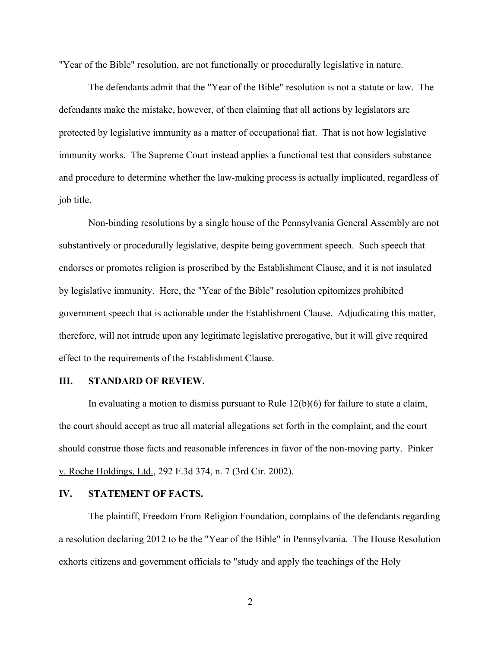"Year of the Bible" resolution, are not functionally or procedurally legislative in nature.

The defendants admit that the "Year of the Bible" resolution is not a statute or law. The defendants make the mistake, however, of then claiming that all actions by legislators are protected by legislative immunity as a matter of occupational fiat. That is not how legislative immunity works. The Supreme Court instead applies a functional test that considers substance and procedure to determine whether the law-making process is actually implicated, regardless of job title.

Non-binding resolutions by a single house of the Pennsylvania General Assembly are not substantively or procedurally legislative, despite being government speech. Such speech that endorses or promotes religion is proscribed by the Establishment Clause, and it is not insulated by legislative immunity. Here, the "Year of the Bible" resolution epitomizes prohibited government speech that is actionable under the Establishment Clause. Adjudicating this matter, therefore, will not intrude upon any legitimate legislative prerogative, but it will give required effect to the requirements of the Establishment Clause.

#### **III. STANDARD OF REVIEW.**

In evaluating a motion to dismiss pursuant to Rule  $12(b)(6)$  for failure to state a claim, the court should accept as true all material allegations set forth in the complaint, and the court should construe those facts and reasonable inferences in favor of the non-moving party. Pinker v. Roche Holdings, Ltd., 292 F.3d 374, n. 7 (3rd Cir. 2002).

#### **IV. STATEMENT OF FACTS.**

The plaintiff, Freedom From Religion Foundation, complains of the defendants regarding a resolution declaring 2012 to be the "Year of the Bible" in Pennsylvania. The House Resolution exhorts citizens and government officials to "study and apply the teachings of the Holy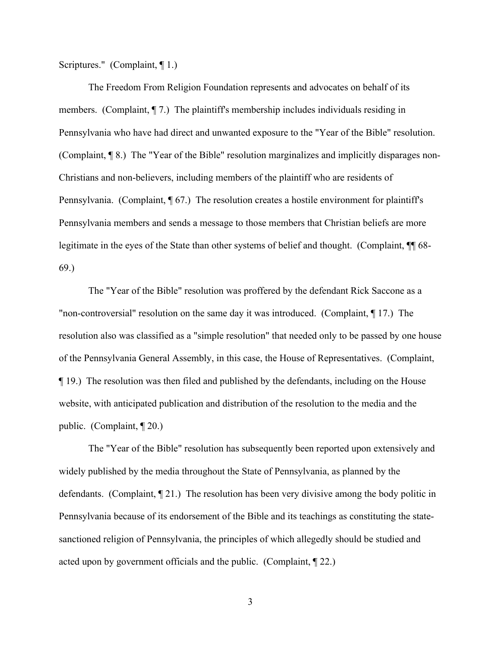Scriptures." (Complaint, ¶ 1.)

The Freedom From Religion Foundation represents and advocates on behalf of its members. (Complaint,  $\P$  7.) The plaintiff's membership includes individuals residing in Pennsylvania who have had direct and unwanted exposure to the "Year of the Bible" resolution. (Complaint, ¶ 8.) The "Year of the Bible" resolution marginalizes and implicitly disparages non-Christians and non-believers, including members of the plaintiff who are residents of Pennsylvania. (Complaint, ¶ 67.) The resolution creates a hostile environment for plaintiff's Pennsylvania members and sends a message to those members that Christian beliefs are more legitimate in the eyes of the State than other systems of belief and thought. (Complaint, ¶¶ 68- 69.)

The "Year of the Bible" resolution was proffered by the defendant Rick Saccone as a "non-controversial" resolution on the same day it was introduced. (Complaint, ¶ 17.) The resolution also was classified as a "simple resolution" that needed only to be passed by one house of the Pennsylvania General Assembly, in this case, the House of Representatives. (Complaint, ¶ 19.) The resolution was then filed and published by the defendants, including on the House website, with anticipated publication and distribution of the resolution to the media and the public. (Complaint, ¶ 20.)

The "Year of the Bible" resolution has subsequently been reported upon extensively and widely published by the media throughout the State of Pennsylvania, as planned by the defendants. (Complaint, ¶ 21.) The resolution has been very divisive among the body politic in Pennsylvania because of its endorsement of the Bible and its teachings as constituting the statesanctioned religion of Pennsylvania, the principles of which allegedly should be studied and acted upon by government officials and the public. (Complaint, ¶ 22.)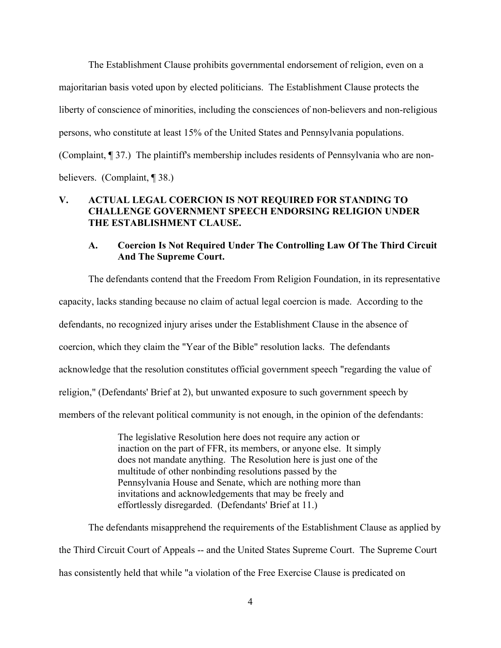The Establishment Clause prohibits governmental endorsement of religion, even on a majoritarian basis voted upon by elected politicians. The Establishment Clause protects the liberty of conscience of minorities, including the consciences of non-believers and non-religious persons, who constitute at least 15% of the United States and Pennsylvania populations. (Complaint, ¶ 37.) The plaintiff's membership includes residents of Pennsylvania who are nonbelievers. (Complaint, ¶ 38.)

## **V. ACTUAL LEGAL COERCION IS NOT REQUIRED FOR STANDING TO CHALLENGE GOVERNMENT SPEECH ENDORSING RELIGION UNDER THE ESTABLISHMENT CLAUSE.**

#### **A. Coercion Is Not Required Under The Controlling Law Of The Third Circuit And The Supreme Court.**

The defendants contend that the Freedom From Religion Foundation, in its representative capacity, lacks standing because no claim of actual legal coercion is made. According to the defendants, no recognized injury arises under the Establishment Clause in the absence of coercion, which they claim the "Year of the Bible" resolution lacks. The defendants acknowledge that the resolution constitutes official government speech "regarding the value of religion," (Defendants' Brief at 2), but unwanted exposure to such government speech by members of the relevant political community is not enough, in the opinion of the defendants:

> The legislative Resolution here does not require any action or inaction on the part of FFR, its members, or anyone else. It simply does not mandate anything. The Resolution here is just one of the multitude of other nonbinding resolutions passed by the Pennsylvania House and Senate, which are nothing more than invitations and acknowledgements that may be freely and effortlessly disregarded. (Defendants' Brief at 11.)

The defendants misapprehend the requirements of the Establishment Clause as applied by the Third Circuit Court of Appeals -- and the United States Supreme Court. The Supreme Court has consistently held that while "a violation of the Free Exercise Clause is predicated on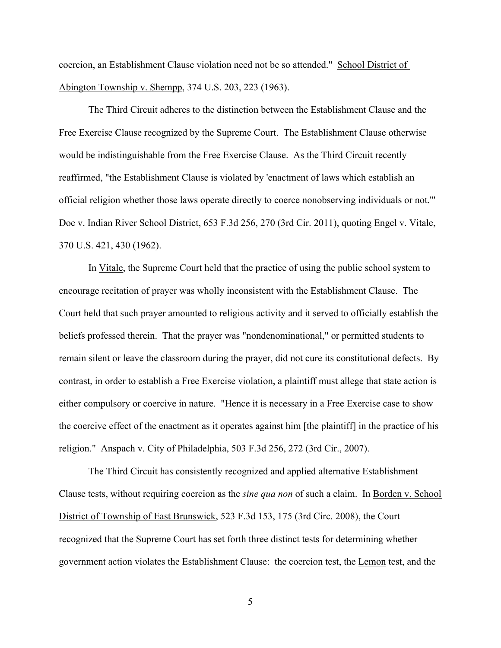coercion, an Establishment Clause violation need not be so attended." School District of Abington Township v. Shempp, 374 U.S. 203, 223 (1963).

The Third Circuit adheres to the distinction between the Establishment Clause and the Free Exercise Clause recognized by the Supreme Court. The Establishment Clause otherwise would be indistinguishable from the Free Exercise Clause. As the Third Circuit recently reaffirmed, "the Establishment Clause is violated by 'enactment of laws which establish an official religion whether those laws operate directly to coerce nonobserving individuals or not.'" Doe v. Indian River School District, 653 F.3d 256, 270 (3rd Cir. 2011), quoting Engel v. Vitale, 370 U.S. 421, 430 (1962).

In Vitale, the Supreme Court held that the practice of using the public school system to encourage recitation of prayer was wholly inconsistent with the Establishment Clause. The Court held that such prayer amounted to religious activity and it served to officially establish the beliefs professed therein. That the prayer was "nondenominational," or permitted students to remain silent or leave the classroom during the prayer, did not cure its constitutional defects. By contrast, in order to establish a Free Exercise violation, a plaintiff must allege that state action is either compulsory or coercive in nature. "Hence it is necessary in a Free Exercise case to show the coercive effect of the enactment as it operates against him [the plaintiff] in the practice of his religion." Anspach v. City of Philadelphia, 503 F.3d 256, 272 (3rd Cir., 2007).

The Third Circuit has consistently recognized and applied alternative Establishment Clause tests, without requiring coercion as the *sine qua non* of such a claim. In Borden v. School District of Township of East Brunswick, 523 F.3d 153, 175 (3rd Circ. 2008), the Court recognized that the Supreme Court has set forth three distinct tests for determining whether government action violates the Establishment Clause: the coercion test, the Lemon test, and the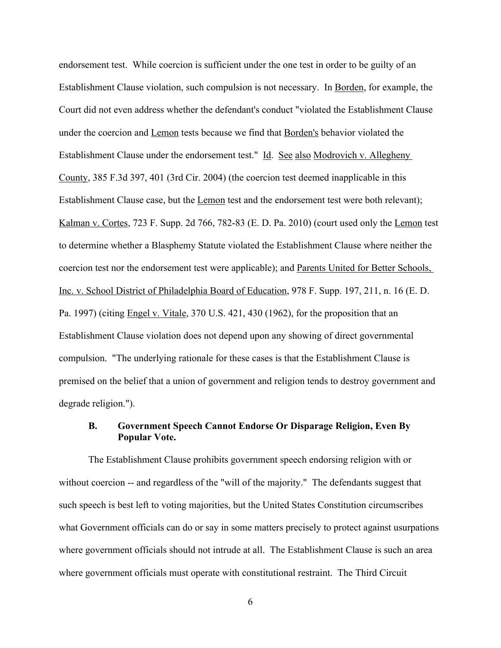endorsement test. While coercion is sufficient under the one test in order to be guilty of an Establishment Clause violation, such compulsion is not necessary. In Borden, for example, the Court did not even address whether the defendant's conduct "violated the Establishment Clause under the coercion and **Lemon** tests because we find that **Borden's** behavior violated the Establishment Clause under the endorsement test." Id. See also Modrovich v. Allegheny County, 385 F.3d 397, 401 (3rd Cir. 2004) (the coercion test deemed inapplicable in this Establishment Clause case, but the Lemon test and the endorsement test were both relevant); Kalman v. Cortes, 723 F. Supp. 2d 766, 782-83 (E. D. Pa. 2010) (court used only the Lemon test to determine whether a Blasphemy Statute violated the Establishment Clause where neither the coercion test nor the endorsement test were applicable); and Parents United for Better Schools, Inc. v. School District of Philadelphia Board of Education, 978 F. Supp. 197, 211, n. 16 (E. D. Pa. 1997) (citing Engel v. Vitale, 370 U.S. 421, 430 (1962), for the proposition that an Establishment Clause violation does not depend upon any showing of direct governmental compulsion. "The underlying rationale for these cases is that the Establishment Clause is premised on the belief that a union of government and religion tends to destroy government and degrade religion.").

#### **B. Government Speech Cannot Endorse Or Disparage Religion, Even By Popular Vote.**

The Establishment Clause prohibits government speech endorsing religion with or without coercion -- and regardless of the "will of the majority." The defendants suggest that such speech is best left to voting majorities, but the United States Constitution circumscribes what Government officials can do or say in some matters precisely to protect against usurpations where government officials should not intrude at all. The Establishment Clause is such an area where government officials must operate with constitutional restraint. The Third Circuit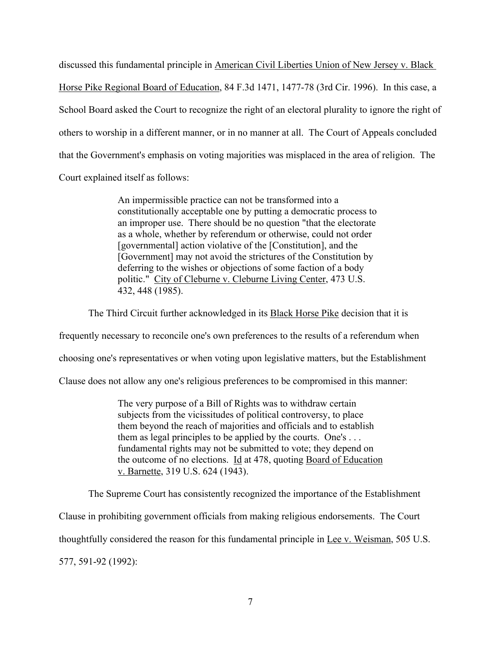discussed this fundamental principle in American Civil Liberties Union of New Jersey v. Black Horse Pike Regional Board of Education, 84 F.3d 1471, 1477-78 (3rd Cir. 1996). In this case, a School Board asked the Court to recognize the right of an electoral plurality to ignore the right of others to worship in a different manner, or in no manner at all. The Court of Appeals concluded that the Government's emphasis on voting majorities was misplaced in the area of religion. The Court explained itself as follows:

> An impermissible practice can not be transformed into a constitutionally acceptable one by putting a democratic process to an improper use. There should be no question "that the electorate as a whole, whether by referendum or otherwise, could not order [governmental] action violative of the [Constitution], and the [Government] may not avoid the strictures of the Constitution by deferring to the wishes or objections of some faction of a body politic." City of Cleburne v. Cleburne Living Center, 473 U.S. 432, 448 (1985).

The Third Circuit further acknowledged in its Black Horse Pike decision that it is

frequently necessary to reconcile one's own preferences to the results of a referendum when

choosing one's representatives or when voting upon legislative matters, but the Establishment

Clause does not allow any one's religious preferences to be compromised in this manner:

The very purpose of a Bill of Rights was to withdraw certain subjects from the vicissitudes of political controversy, to place them beyond the reach of majorities and officials and to establish them as legal principles to be applied by the courts. One's . . . fundamental rights may not be submitted to vote; they depend on the outcome of no elections. Id at 478, quoting Board of Education v. Barnette, 319 U.S. 624 (1943).

The Supreme Court has consistently recognized the importance of the Establishment

Clause in prohibiting government officials from making religious endorsements. The Court

thoughtfully considered the reason for this fundamental principle in <u>Lee v. Weisman</u>, 505 U.S.

577, 591-92 (1992):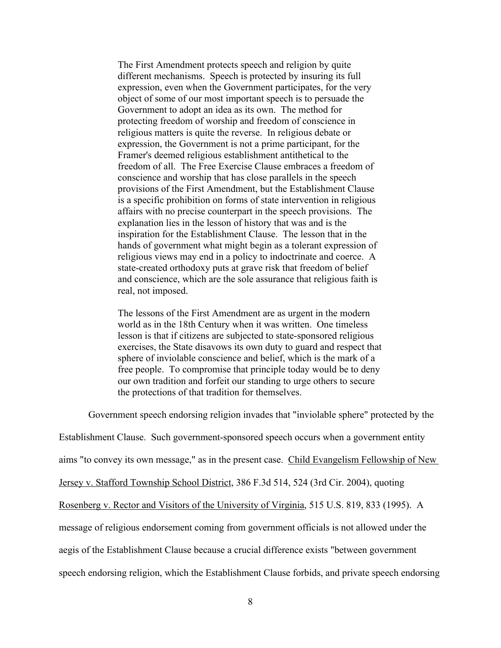The First Amendment protects speech and religion by quite different mechanisms. Speech is protected by insuring its full expression, even when the Government participates, for the very object of some of our most important speech is to persuade the Government to adopt an idea as its own. The method for protecting freedom of worship and freedom of conscience in religious matters is quite the reverse. In religious debate or expression, the Government is not a prime participant, for the Framer's deemed religious establishment antithetical to the freedom of all. The Free Exercise Clause embraces a freedom of conscience and worship that has close parallels in the speech provisions of the First Amendment, but the Establishment Clause is a specific prohibition on forms of state intervention in religious affairs with no precise counterpart in the speech provisions. The explanation lies in the lesson of history that was and is the inspiration for the Establishment Clause. The lesson that in the hands of government what might begin as a tolerant expression of religious views may end in a policy to indoctrinate and coerce. A state-created orthodoxy puts at grave risk that freedom of belief and conscience, which are the sole assurance that religious faith is real, not imposed.

The lessons of the First Amendment are as urgent in the modern world as in the 18th Century when it was written. One timeless lesson is that if citizens are subjected to state-sponsored religious exercises, the State disavows its own duty to guard and respect that sphere of inviolable conscience and belief, which is the mark of a free people. To compromise that principle today would be to deny our own tradition and forfeit our standing to urge others to secure the protections of that tradition for themselves.

Government speech endorsing religion invades that "inviolable sphere" protected by the

Establishment Clause. Such government-sponsored speech occurs when a government entity

aims "to convey its own message," as in the present case. Child Evangelism Fellowship of New

Jersey v. Stafford Township School District, 386 F.3d 514, 524 (3rd Cir. 2004), quoting

Rosenberg v. Rector and Visitors of the University of Virginia, 515 U.S. 819, 833 (1995). A

message of religious endorsement coming from government officials is not allowed under the

aegis of the Establishment Clause because a crucial difference exists "between government

speech endorsing religion, which the Establishment Clause forbids, and private speech endorsing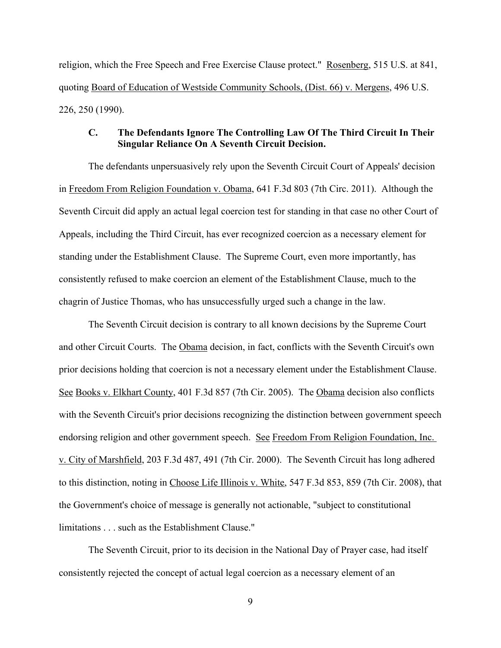religion, which the Free Speech and Free Exercise Clause protect." Rosenberg, 515 U.S. at 841, quoting Board of Education of Westside Community Schools, (Dist. 66) v. Mergens, 496 U.S. 226, 250 (1990).

#### **C. The Defendants Ignore The Controlling Law Of The Third Circuit In Their Singular Reliance On A Seventh Circuit Decision.**

The defendants unpersuasively rely upon the Seventh Circuit Court of Appeals' decision in Freedom From Religion Foundation v. Obama, 641 F.3d 803 (7th Circ. 2011). Although the Seventh Circuit did apply an actual legal coercion test for standing in that case no other Court of Appeals, including the Third Circuit, has ever recognized coercion as a necessary element for standing under the Establishment Clause. The Supreme Court, even more importantly, has consistently refused to make coercion an element of the Establishment Clause, much to the chagrin of Justice Thomas, who has unsuccessfully urged such a change in the law.

The Seventh Circuit decision is contrary to all known decisions by the Supreme Court and other Circuit Courts. The Obama decision, in fact, conflicts with the Seventh Circuit's own prior decisions holding that coercion is not a necessary element under the Establishment Clause. See Books v. Elkhart County, 401 F.3d 857 (7th Cir. 2005). The Obama decision also conflicts with the Seventh Circuit's prior decisions recognizing the distinction between government speech endorsing religion and other government speech. See Freedom From Religion Foundation, Inc. v. City of Marshfield, 203 F.3d 487, 491 (7th Cir. 2000). The Seventh Circuit has long adhered to this distinction, noting in Choose Life Illinois v. White, 547 F.3d 853, 859 (7th Cir. 2008), that the Government's choice of message is generally not actionable, "subject to constitutional limitations . . . such as the Establishment Clause."

The Seventh Circuit, prior to its decision in the National Day of Prayer case, had itself consistently rejected the concept of actual legal coercion as a necessary element of an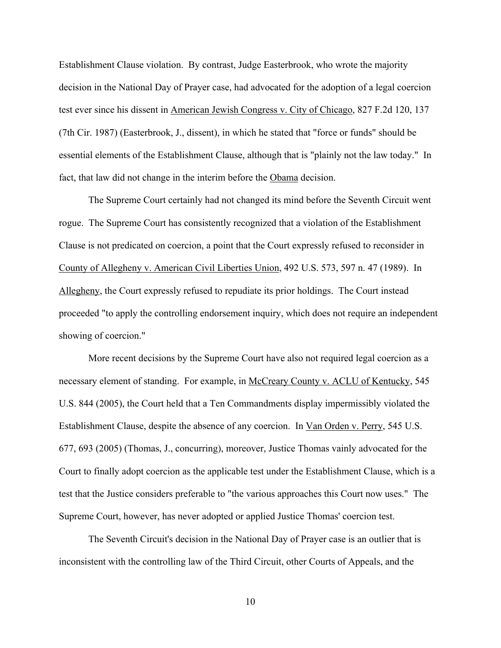Establishment Clause violation. By contrast, Judge Easterbrook, who wrote the majority decision in the National Day of Prayer case, had advocated for the adoption of a legal coercion test ever since his dissent in American Jewish Congress v. City of Chicago, 827 F.2d 120, 137 (7th Cir. 1987) (Easterbrook, J., dissent), in which he stated that "force or funds" should be essential elements of the Establishment Clause, although that is "plainly not the law today." In fact, that law did not change in the interim before the Obama decision.

The Supreme Court certainly had not changed its mind before the Seventh Circuit went rogue. The Supreme Court has consistently recognized that a violation of the Establishment Clause is not predicated on coercion, a point that the Court expressly refused to reconsider in County of Allegheny v. American Civil Liberties Union, 492 U.S. 573, 597 n. 47 (1989). In Allegheny, the Court expressly refused to repudiate its prior holdings. The Court instead proceeded "to apply the controlling endorsement inquiry, which does not require an independent showing of coercion."

More recent decisions by the Supreme Court have also not required legal coercion as a necessary element of standing. For example, in McCreary County v. ACLU of Kentucky, 545 U.S. 844 (2005), the Court held that a Ten Commandments display impermissibly violated the Establishment Clause, despite the absence of any coercion. In Van Orden v. Perry, 545 U.S. 677, 693 (2005) (Thomas, J., concurring), moreover, Justice Thomas vainly advocated for the Court to finally adopt coercion as the applicable test under the Establishment Clause, which is a test that the Justice considers preferable to "the various approaches this Court now uses." The Supreme Court, however, has never adopted or applied Justice Thomas' coercion test.

The Seventh Circuit's decision in the National Day of Prayer case is an outlier that is inconsistent with the controlling law of the Third Circuit, other Courts of Appeals, and the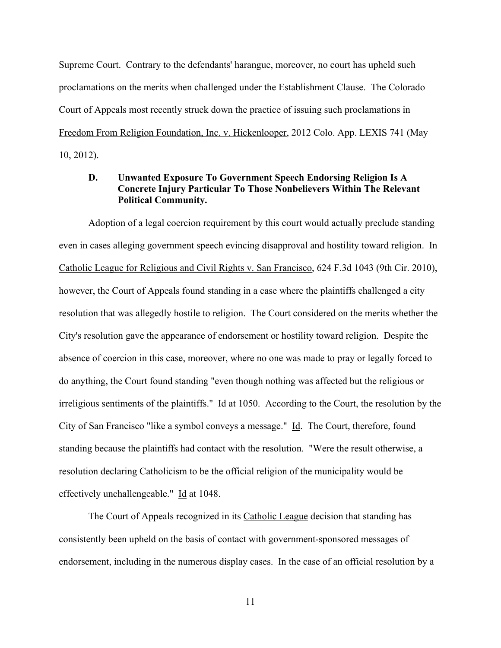Supreme Court. Contrary to the defendants' harangue, moreover, no court has upheld such proclamations on the merits when challenged under the Establishment Clause. The Colorado Court of Appeals most recently struck down the practice of issuing such proclamations in Freedom From Religion Foundation, Inc. v. Hickenlooper, 2012 Colo. App. LEXIS 741 (May 10, 2012).

## **D. Unwanted Exposure To Government Speech Endorsing Religion Is A Concrete Injury Particular To Those Nonbelievers Within The Relevant Political Community.**

Adoption of a legal coercion requirement by this court would actually preclude standing even in cases alleging government speech evincing disapproval and hostility toward religion. In Catholic League for Religious and Civil Rights v. San Francisco, 624 F.3d 1043 (9th Cir. 2010), however, the Court of Appeals found standing in a case where the plaintiffs challenged a city resolution that was allegedly hostile to religion. The Court considered on the merits whether the City's resolution gave the appearance of endorsement or hostility toward religion. Despite the absence of coercion in this case, moreover, where no one was made to pray or legally forced to do anything, the Court found standing "even though nothing was affected but the religious or irreligious sentiments of the plaintiffs." Id at 1050. According to the Court, the resolution by the City of San Francisco "like a symbol conveys a message." Id. The Court, therefore, found standing because the plaintiffs had contact with the resolution. "Were the result otherwise, a resolution declaring Catholicism to be the official religion of the municipality would be effectively unchallengeable." Id at 1048.

The Court of Appeals recognized in its Catholic League decision that standing has consistently been upheld on the basis of contact with government-sponsored messages of endorsement, including in the numerous display cases. In the case of an official resolution by a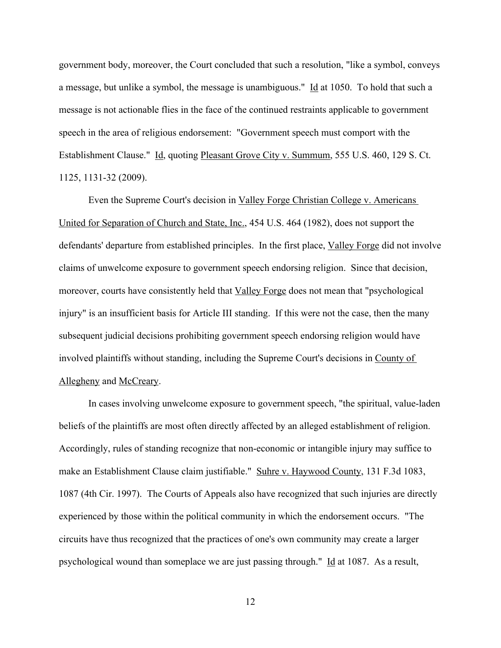government body, moreover, the Court concluded that such a resolution, "like a symbol, conveys a message, but unlike a symbol, the message is unambiguous." Id at 1050. To hold that such a message is not actionable flies in the face of the continued restraints applicable to government speech in the area of religious endorsement: "Government speech must comport with the Establishment Clause." Id, quoting Pleasant Grove City v. Summum, 555 U.S. 460, 129 S. Ct. 1125, 1131-32 (2009).

Even the Supreme Court's decision in Valley Forge Christian College v. Americans United for Separation of Church and State, Inc., 454 U.S. 464 (1982), does not support the defendants' departure from established principles. In the first place, Valley Forge did not involve claims of unwelcome exposure to government speech endorsing religion. Since that decision, moreover, courts have consistently held that Valley Forge does not mean that "psychological injury" is an insufficient basis for Article III standing. If this were not the case, then the many subsequent judicial decisions prohibiting government speech endorsing religion would have involved plaintiffs without standing, including the Supreme Court's decisions in County of Allegheny and McCreary.

In cases involving unwelcome exposure to government speech, "the spiritual, value-laden beliefs of the plaintiffs are most often directly affected by an alleged establishment of religion. Accordingly, rules of standing recognize that non-economic or intangible injury may suffice to make an Establishment Clause claim justifiable." Suhre v. Haywood County, 131 F.3d 1083, 1087 (4th Cir. 1997). The Courts of Appeals also have recognized that such injuries are directly experienced by those within the political community in which the endorsement occurs. "The circuits have thus recognized that the practices of one's own community may create a larger psychological wound than someplace we are just passing through." Id at 1087. As a result,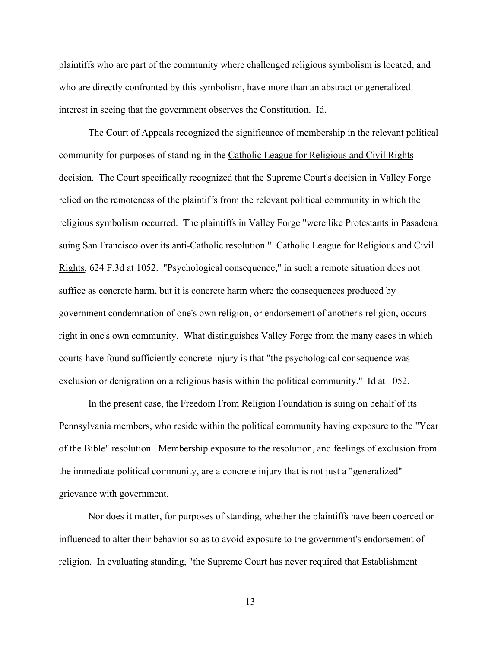plaintiffs who are part of the community where challenged religious symbolism is located, and who are directly confronted by this symbolism, have more than an abstract or generalized interest in seeing that the government observes the Constitution. Id.

The Court of Appeals recognized the significance of membership in the relevant political community for purposes of standing in the Catholic League for Religious and Civil Rights decision. The Court specifically recognized that the Supreme Court's decision in Valley Forge relied on the remoteness of the plaintiffs from the relevant political community in which the religious symbolism occurred. The plaintiffs in Valley Forge "were like Protestants in Pasadena suing San Francisco over its anti-Catholic resolution." Catholic League for Religious and Civil Rights, 624 F.3d at 1052. "Psychological consequence," in such a remote situation does not suffice as concrete harm, but it is concrete harm where the consequences produced by government condemnation of one's own religion, or endorsement of another's religion, occurs right in one's own community. What distinguishes Valley Forge from the many cases in which courts have found sufficiently concrete injury is that "the psychological consequence was exclusion or denigration on a religious basis within the political community." Id at 1052.

In the present case, the Freedom From Religion Foundation is suing on behalf of its Pennsylvania members, who reside within the political community having exposure to the "Year of the Bible" resolution. Membership exposure to the resolution, and feelings of exclusion from the immediate political community, are a concrete injury that is not just a "generalized" grievance with government.

Nor does it matter, for purposes of standing, whether the plaintiffs have been coerced or influenced to alter their behavior so as to avoid exposure to the government's endorsement of religion. In evaluating standing, "the Supreme Court has never required that Establishment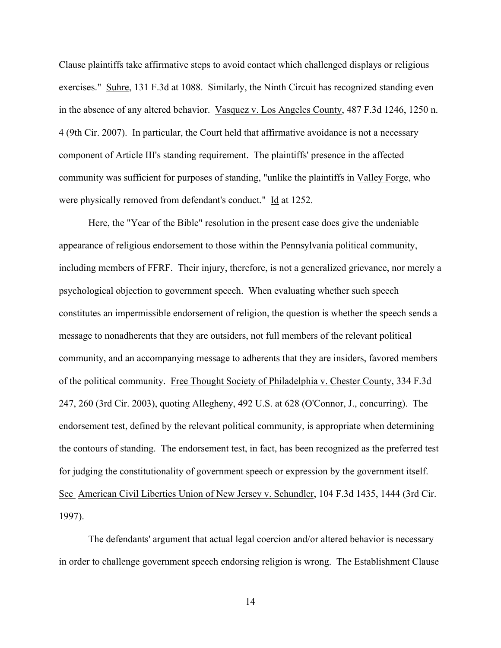Clause plaintiffs take affirmative steps to avoid contact which challenged displays or religious exercises." Suhre, 131 F.3d at 1088. Similarly, the Ninth Circuit has recognized standing even in the absence of any altered behavior. Vasquez v. Los Angeles County, 487 F.3d 1246, 1250 n. 4 (9th Cir. 2007). In particular, the Court held that affirmative avoidance is not a necessary component of Article III's standing requirement. The plaintiffs' presence in the affected community was sufficient for purposes of standing, "unlike the plaintiffs in Valley Forge, who were physically removed from defendant's conduct." Id at 1252.

Here, the "Year of the Bible" resolution in the present case does give the undeniable appearance of religious endorsement to those within the Pennsylvania political community, including members of FFRF. Their injury, therefore, is not a generalized grievance, nor merely a psychological objection to government speech. When evaluating whether such speech constitutes an impermissible endorsement of religion, the question is whether the speech sends a message to nonadherents that they are outsiders, not full members of the relevant political community, and an accompanying message to adherents that they are insiders, favored members of the political community. Free Thought Society of Philadelphia v. Chester County, 334 F.3d 247, 260 (3rd Cir. 2003), quoting Allegheny, 492 U.S. at 628 (O'Connor, J., concurring). The endorsement test, defined by the relevant political community, is appropriate when determining the contours of standing. The endorsement test, in fact, has been recognized as the preferred test for judging the constitutionality of government speech or expression by the government itself. See American Civil Liberties Union of New Jersey v. Schundler, 104 F.3d 1435, 1444 (3rd Cir. 1997).

The defendants' argument that actual legal coercion and/or altered behavior is necessary in order to challenge government speech endorsing religion is wrong. The Establishment Clause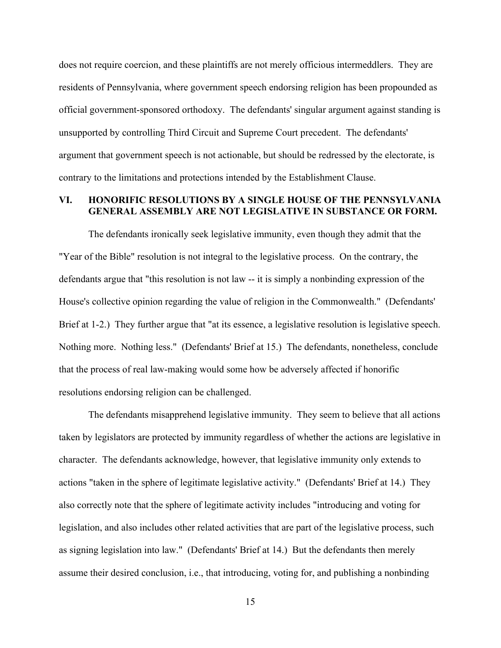does not require coercion, and these plaintiffs are not merely officious intermeddlers. They are residents of Pennsylvania, where government speech endorsing religion has been propounded as official government-sponsored orthodoxy. The defendants' singular argument against standing is unsupported by controlling Third Circuit and Supreme Court precedent. The defendants' argument that government speech is not actionable, but should be redressed by the electorate, is contrary to the limitations and protections intended by the Establishment Clause.

#### **VI. HONORIFIC RESOLUTIONS BY A SINGLE HOUSE OF THE PENNSYLVANIA GENERAL ASSEMBLY ARE NOT LEGISLATIVE IN SUBSTANCE OR FORM.**

The defendants ironically seek legislative immunity, even though they admit that the "Year of the Bible" resolution is not integral to the legislative process. On the contrary, the defendants argue that "this resolution is not law -- it is simply a nonbinding expression of the House's collective opinion regarding the value of religion in the Commonwealth." (Defendants' Brief at 1-2.) They further argue that "at its essence, a legislative resolution is legislative speech. Nothing more. Nothing less." (Defendants' Brief at 15.) The defendants, nonetheless, conclude that the process of real law-making would some how be adversely affected if honorific resolutions endorsing religion can be challenged.

The defendants misapprehend legislative immunity. They seem to believe that all actions taken by legislators are protected by immunity regardless of whether the actions are legislative in character. The defendants acknowledge, however, that legislative immunity only extends to actions "taken in the sphere of legitimate legislative activity." (Defendants' Brief at 14.) They also correctly note that the sphere of legitimate activity includes "introducing and voting for legislation, and also includes other related activities that are part of the legislative process, such as signing legislation into law." (Defendants' Brief at 14.) But the defendants then merely assume their desired conclusion, i.e., that introducing, voting for, and publishing a nonbinding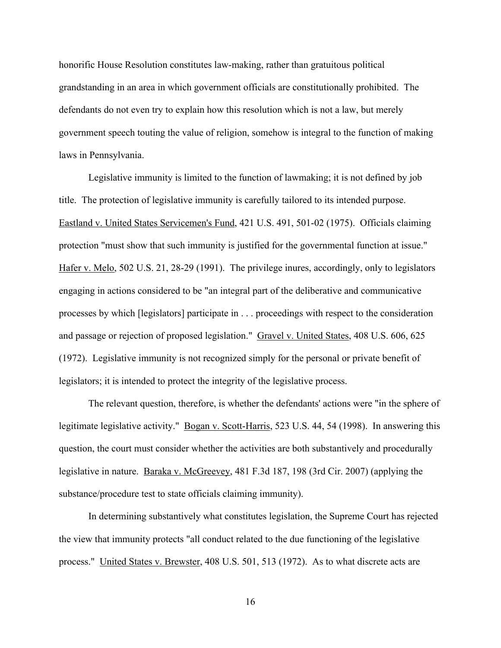honorific House Resolution constitutes law-making, rather than gratuitous political grandstanding in an area in which government officials are constitutionally prohibited. The defendants do not even try to explain how this resolution which is not a law, but merely government speech touting the value of religion, somehow is integral to the function of making laws in Pennsylvania.

Legislative immunity is limited to the function of lawmaking; it is not defined by job title. The protection of legislative immunity is carefully tailored to its intended purpose. Eastland v. United States Servicemen's Fund, 421 U.S. 491, 501-02 (1975). Officials claiming protection "must show that such immunity is justified for the governmental function at issue." Hafer v. Melo, 502 U.S. 21, 28-29 (1991). The privilege inures, accordingly, only to legislators engaging in actions considered to be "an integral part of the deliberative and communicative processes by which [legislators] participate in . . . proceedings with respect to the consideration and passage or rejection of proposed legislation." Gravel v. United States, 408 U.S. 606, 625 (1972). Legislative immunity is not recognized simply for the personal or private benefit of legislators; it is intended to protect the integrity of the legislative process.

The relevant question, therefore, is whether the defendants' actions were "in the sphere of legitimate legislative activity." <u>Bogan v. Scott-Harris</u>, 523 U.S. 44, 54 (1998). In answering this question, the court must consider whether the activities are both substantively and procedurally legislative in nature. Baraka v. McGreevey, 481 F.3d 187, 198 (3rd Cir. 2007) (applying the substance/procedure test to state officials claiming immunity).

In determining substantively what constitutes legislation, the Supreme Court has rejected the view that immunity protects "all conduct related to the due functioning of the legislative process." United States v. Brewster, 408 U.S. 501, 513 (1972). As to what discrete acts are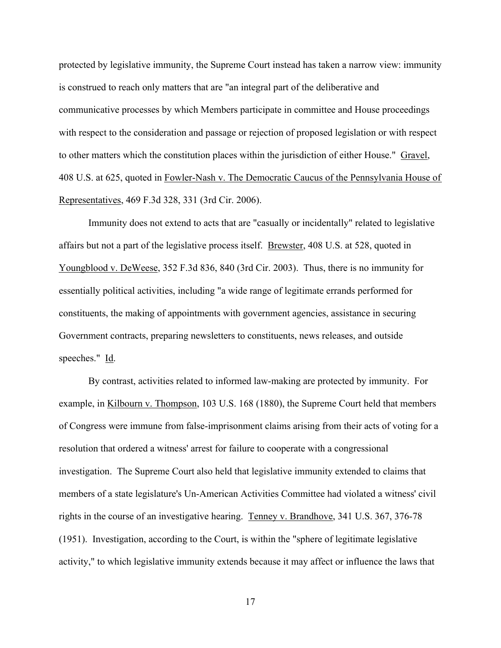protected by legislative immunity, the Supreme Court instead has taken a narrow view: immunity is construed to reach only matters that are "an integral part of the deliberative and communicative processes by which Members participate in committee and House proceedings with respect to the consideration and passage or rejection of proposed legislation or with respect to other matters which the constitution places within the jurisdiction of either House." Gravel, 408 U.S. at 625, quoted in Fowler-Nash v. The Democratic Caucus of the Pennsylvania House of Representatives, 469 F.3d 328, 331 (3rd Cir. 2006).

Immunity does not extend to acts that are "casually or incidentally" related to legislative affairs but not a part of the legislative process itself. Brewster, 408 U.S. at 528, quoted in Youngblood v. DeWeese, 352 F.3d 836, 840 (3rd Cir. 2003). Thus, there is no immunity for essentially political activities, including "a wide range of legitimate errands performed for constituents, the making of appointments with government agencies, assistance in securing Government contracts, preparing newsletters to constituents, news releases, and outside speeches." Id.

By contrast, activities related to informed law-making are protected by immunity. For example, in Kilbourn v. Thompson, 103 U.S. 168 (1880), the Supreme Court held that members of Congress were immune from false-imprisonment claims arising from their acts of voting for a resolution that ordered a witness' arrest for failure to cooperate with a congressional investigation. The Supreme Court also held that legislative immunity extended to claims that members of a state legislature's Un-American Activities Committee had violated a witness' civil rights in the course of an investigative hearing. Tenney v. Brandhove, 341 U.S. 367, 376-78 (1951). Investigation, according to the Court, is within the "sphere of legitimate legislative activity," to which legislative immunity extends because it may affect or influence the laws that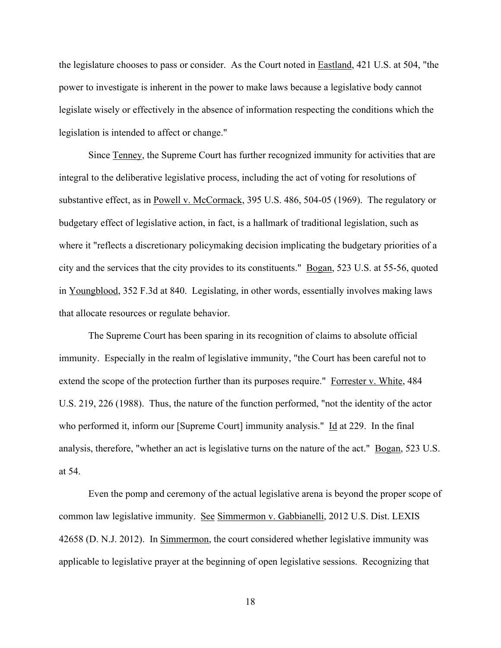the legislature chooses to pass or consider. As the Court noted in Eastland, 421 U.S. at 504, "the power to investigate is inherent in the power to make laws because a legislative body cannot legislate wisely or effectively in the absence of information respecting the conditions which the legislation is intended to affect or change."

Since Tenney, the Supreme Court has further recognized immunity for activities that are integral to the deliberative legislative process, including the act of voting for resolutions of substantive effect, as in Powell v. McCormack, 395 U.S. 486, 504-05 (1969). The regulatory or budgetary effect of legislative action, in fact, is a hallmark of traditional legislation, such as where it "reflects a discretionary policymaking decision implicating the budgetary priorities of a city and the services that the city provides to its constituents." Bogan, 523 U.S. at 55-56, quoted in Youngblood, 352 F.3d at 840. Legislating, in other words, essentially involves making laws that allocate resources or regulate behavior.

The Supreme Court has been sparing in its recognition of claims to absolute official immunity. Especially in the realm of legislative immunity, "the Court has been careful not to extend the scope of the protection further than its purposes require." Forrester v. White, 484 U.S. 219, 226 (1988). Thus, the nature of the function performed, "not the identity of the actor who performed it, inform our [Supreme Court] immunity analysis." Id at 229. In the final analysis, therefore, "whether an act is legislative turns on the nature of the act." Bogan, 523 U.S. at 54.

Even the pomp and ceremony of the actual legislative arena is beyond the proper scope of common law legislative immunity. See Simmermon v. Gabbianelli, 2012 U.S. Dist. LEXIS 42658 (D. N.J. 2012). In Simmermon, the court considered whether legislative immunity was applicable to legislative prayer at the beginning of open legislative sessions. Recognizing that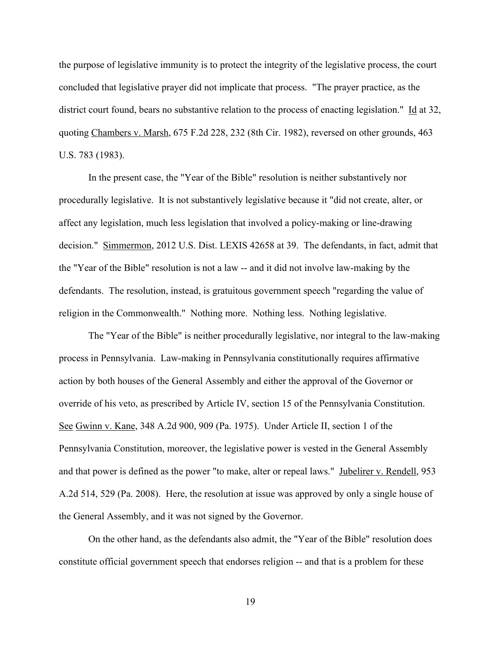the purpose of legislative immunity is to protect the integrity of the legislative process, the court concluded that legislative prayer did not implicate that process. "The prayer practice, as the district court found, bears no substantive relation to the process of enacting legislation." Id at 32, quoting Chambers v. Marsh, 675 F.2d 228, 232 (8th Cir. 1982), reversed on other grounds, 463 U.S. 783 (1983).

In the present case, the "Year of the Bible" resolution is neither substantively nor procedurally legislative. It is not substantively legislative because it "did not create, alter, or affect any legislation, much less legislation that involved a policy-making or line-drawing decision." Simmermon, 2012 U.S. Dist. LEXIS 42658 at 39. The defendants, in fact, admit that the "Year of the Bible" resolution is not a law -- and it did not involve law-making by the defendants. The resolution, instead, is gratuitous government speech "regarding the value of religion in the Commonwealth." Nothing more. Nothing less. Nothing legislative.

The "Year of the Bible" is neither procedurally legislative, nor integral to the law-making process in Pennsylvania. Law-making in Pennsylvania constitutionally requires affirmative action by both houses of the General Assembly and either the approval of the Governor or override of his veto, as prescribed by Article IV, section 15 of the Pennsylvania Constitution. See Gwinn v. Kane, 348 A.2d 900, 909 (Pa. 1975). Under Article II, section 1 of the Pennsylvania Constitution, moreover, the legislative power is vested in the General Assembly and that power is defined as the power "to make, alter or repeal laws." Jubelirer v. Rendell, 953 A.2d 514, 529 (Pa. 2008). Here, the resolution at issue was approved by only a single house of the General Assembly, and it was not signed by the Governor.

On the other hand, as the defendants also admit, the "Year of the Bible" resolution does constitute official government speech that endorses religion -- and that is a problem for these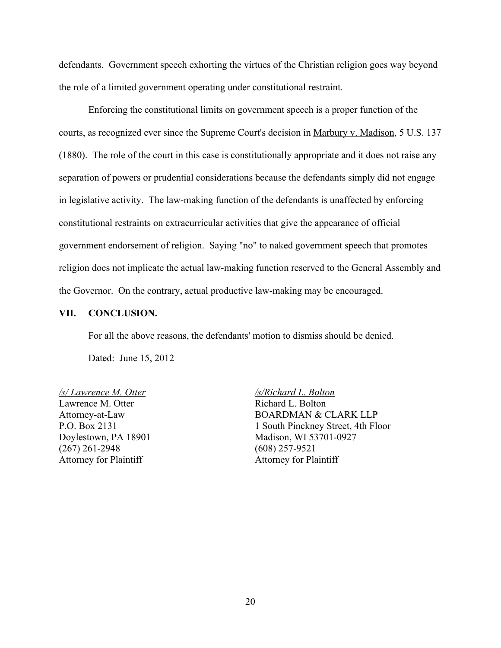defendants. Government speech exhorting the virtues of the Christian religion goes way beyond the role of a limited government operating under constitutional restraint.

Enforcing the constitutional limits on government speech is a proper function of the courts, as recognized ever since the Supreme Court's decision in Marbury v. Madison, 5 U.S. 137 (1880). The role of the court in this case is constitutionally appropriate and it does not raise any separation of powers or prudential considerations because the defendants simply did not engage in legislative activity. The law-making function of the defendants is unaffected by enforcing constitutional restraints on extracurricular activities that give the appearance of official government endorsement of religion. Saying "no" to naked government speech that promotes religion does not implicate the actual law-making function reserved to the General Assembly and the Governor. On the contrary, actual productive law-making may be encouraged.

#### **VII. CONCLUSION.**

For all the above reasons, the defendants' motion to dismiss should be denied.

Dated: June 15, 2012

*/s/ Lawrence M. Otter* Lawrence M. Otter Attorney-at-Law P.O. Box 2131 Doylestown, PA 18901 (267) 261-2948 Attorney for Plaintiff

*/s/Richard L. Bolton* Richard L. Bolton BOARDMAN & CLARK LLP 1 South Pinckney Street, 4th Floor Madison, WI 53701-0927 (608) 257-9521 Attorney for Plaintiff